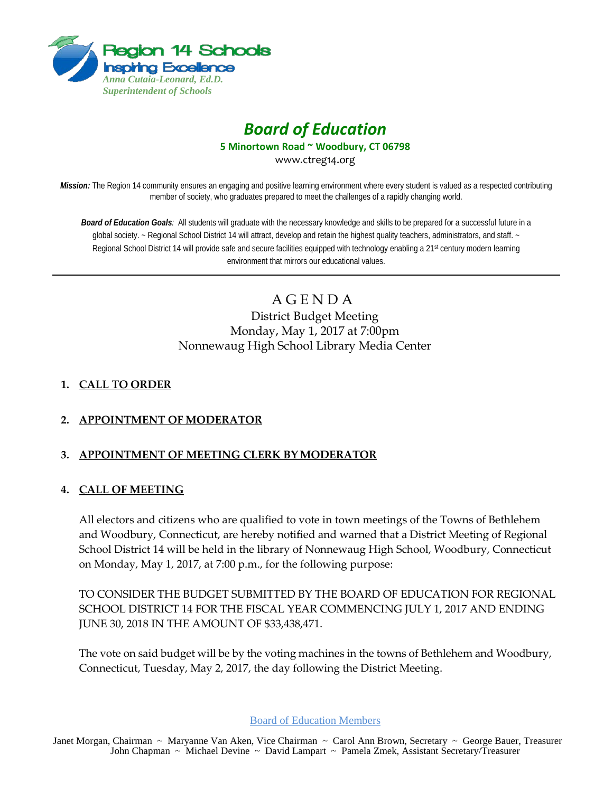

# *Board of Education*

**5 Minortown Road ~ Woodbury, CT 06798**

www.ctreg14.org

*Mission:* The Region 14 community ensures an engaging and positive learning environment where every student is valued as a respected contributing member of society, who graduates prepared to meet the challenges of a rapidly changing world.

*Board of Education Goals:* All students will graduate with the necessary knowledge and skills to be prepared for a successful future in a global society. ~ Regional School District 14 will attract, develop and retain the highest quality teachers, administrators, and staff. ~ Regional School District 14 will provide safe and secure facilities equipped with technology enabling a 21<sup>st</sup> century modern learning environment that mirrors our educational values.

> A G E N D A District Budget Meeting Monday, May 1, 2017 at 7:00pm Nonnewaug High School Library Media Center

# **1. CALL TO ORDER**

# **2. APPOINTMENT OF MODERATOR**

# **3. APPOINTMENT OF MEETING CLERK BY MODERATOR**

## **4. CALL OF MEETING**

All electors and citizens who are qualified to vote in town meetings of the Towns of Bethlehem and Woodbury, Connecticut, are hereby notified and warned that a District Meeting of Regional School District 14 will be held in the library of Nonnewaug High School, Woodbury, Connecticut on Monday, May 1, 2017, at 7:00 p.m., for the following purpose:

TO CONSIDER THE BUDGET SUBMITTED BY THE BOARD OF EDUCATION FOR REGIONAL SCHOOL DISTRICT 14 FOR THE FISCAL YEAR COMMENCING JULY 1, 2017 AND ENDING JUNE 30, 2018 IN THE AMOUNT OF \$33,438,471.

The vote on said budget will be by the voting machines in the towns of Bethlehem and Woodbury, Connecticut, Tuesday, May 2, 2017, the day following the District Meeting.

Board of Education Members